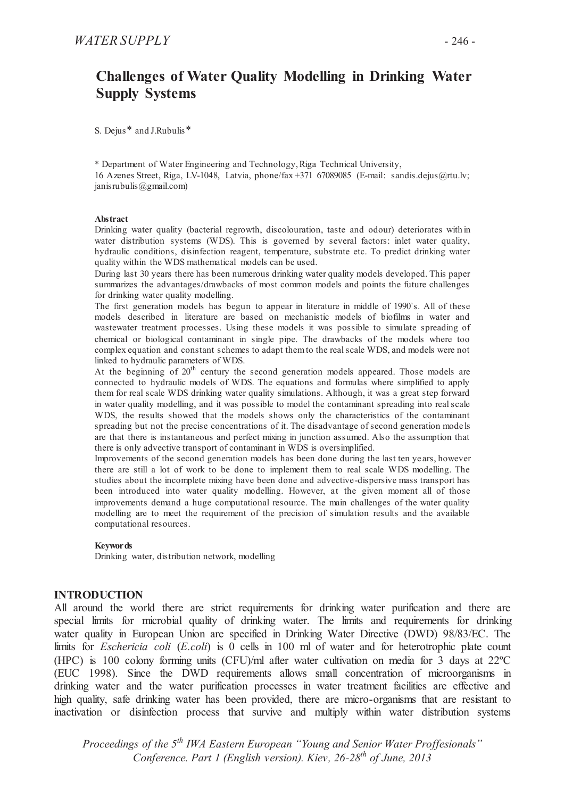# **Challenges of Water Quality Modelling in Drinking Water Supply Systems**

S. Dejus<sup>\*</sup> and J.Rubulis<sup>\*</sup>

\* Department of Water Engineering and Technology, Riga Technical University, 16 Azenes Street, Riga, LV-1048, Latvia, phone/fax +371 67089085 (E-mail: sandis.dejus@rtu.lv;  $janis rubulis@gmail.com)$ 

#### **Abstract**

Drinking water quality (bacterial regrowth, discolouration, taste and odour) deteriorates with in water distribution systems (WDS). This is governed by several factors: inlet water quality, hydraulic conditions, disinfection reagent, temperature, substrate etc. To predict drinking water quality within the WDS mathematical models can be used.

During last 30 years there has been numerous drinking water quality models developed. This paper summarizes the advantages/drawbacks of most common models and points the future challenges for drinking water quality modelling.

The first generation models has begun to appear in literature in middle of 1990`s. All of these models described in literature are based on mechanistic models of biofilms in water and wastewater treatment processes. Using these models it was possible to simulate spreading of chemical or biological contaminant in single pipe. The drawbacks of the models where too complex equation and constant schemes to adapt them to the real scale WDS, and models were not linked to hydraulic parameters of WDS.

At the beginning of  $20<sup>th</sup>$  century the second generation models appeared. Those models are connected to hydraulic models of WDS. The equations and formulas where simplified to apply them for real scale WDS drinking water quality simulations. Although, it was a great step forward in water quality modelling, and it was possible to model the contaminant spreading into real scale WDS, the results showed that the models shows only the characteristics of the contaminant spreading but not the precise concentrations of it. The disadvantage of second generation mode ls are that there is instantaneous and perfect mixing in junction assumed. Also the assumption that there is only advective transport of contaminant in WDS is oversimplified.

Improvements of the second generation models has been done during the last ten ye ars, however there are still a lot of work to be done to implement them to real scale WDS modelling. The studies about the incomplete mixing have been done and advective-dispersive mass transport has been introduced into water quality modelling. However, at the given moment all of those improvements demand a huge computational resource. The main challenges of the water quality modelling are to meet the requirement of the precision of simulation results and the available computational resources.

#### **Keywords**

Drinking water, distribution network, modelling

#### **INTRODUCTION**

All around the world there are strict requirements for drinking water purification and there are special limits for microbial quality of drinking water. The limits and requirements for drinking water quality in European Union are specified in Drinking Water Directive (DWD) 98/83/EC. The limits for *Eschericia coli* (*E.coli*) is 0 cells in 100 ml of water and for heterotrophic plate count (HPC) is 100 colony forming units (CFU)/ml after water cultivation on media for 3 days at 22ºC (EUC 1998). Since the DWD requirements allows small concentration of microorganisms in drinking water and the water purification processes in water treatment facilities are effective and high quality, safe drinking water has been provided, there are micro-organisms that are resistant to inactivation or disinfection process that survive and multiply within water distribution systems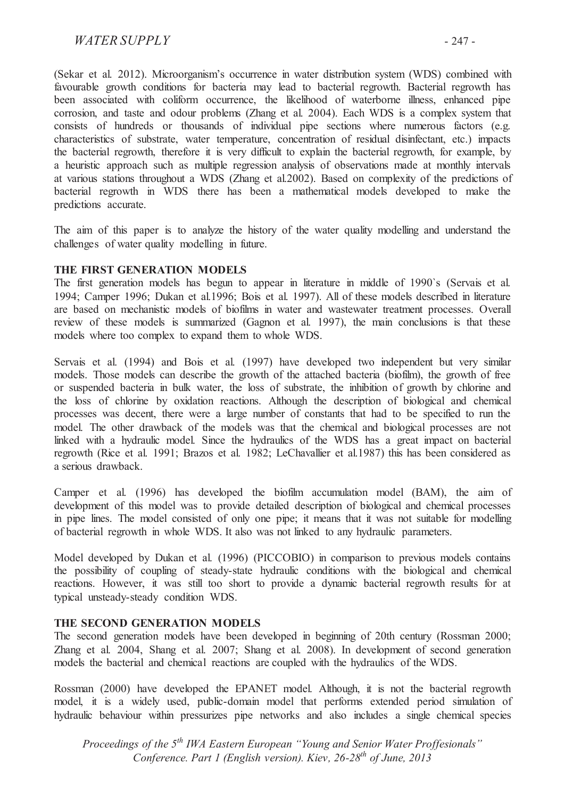# *WATER SUPPLY* - 247 -

(Sekar et al. 2012). Microorganism's occurrence in water distribution system (WDS) combined with favourable growth conditions for bacteria may lead to bacterial regrowth. Bacterial regrowth has been associated with coliform occurrence, the likelihood of waterborne illness, enhanced pipe corrosion, and taste and odour problems (Zhang et al. 2004). Each WDS is a complex system that consists of hundreds or thousands of individual pipe sections where numerous factors (e.g. characteristics of substrate, water temperature, concentration of residual disinfectant, etc.) impacts the bacterial regrowth, therefore it is very difficult to explain the bacterial regrowth, for example, by a heuristic approach such as multiple regression analysis of observations made at monthly intervals at various stations throughout a WDS (Zhang et al.2002). Based on complexity of the predictions of bacterial regrowth in WDS there has been a mathematical models developed to make the predictions accurate.

The aim of this paper is to analyze the history of the water quality modelling and understand the challenges of water quality modelling in future.

#### **THE FIRST GENERATION MODELS**

The first generation models has begun to appear in literature in middle of 1990`s (Servais et al. 1994; Camper 1996; Dukan et al.1996; Bois et al. 1997). All of these models described in literature are based on mechanistic models of biofilms in water and wastewater treatment processes. Overall review of these models is summarized (Gagnon et al. 1997), the main conclusions is that these models where too complex to expand them to whole WDS.

Servais et al. (1994) and Bois et al. (1997) have developed two independent but very similar models. Those models can describe the growth of the attached bacteria (biofilm), the growth of free or suspended bacteria in bulk water, the loss of substrate, the inhibition of growth by chlorine and the loss of chlorine by oxidation reactions. Although the description of biological and chemical processes was decent, there were a large number of constants that had to be specified to run the model. The other drawback of the models was that the chemical and biological processes are not linked with a hydraulic model. Since the hydraulics of the WDS has a great impact on bacterial regrowth (Rice et al. 1991; Brazos et al. 1982; LeChavallier et al.1987) this has been considered as a serious drawback.

Camper et al. (1996) has developed the biofilm accumulation model (BAM), the aim of development of this model was to provide detailed description of biological and chemical processes in pipe lines. The model consisted of only one pipe; it means that it was not suitable for modelling of bacterial regrowth in whole WDS. It also was not linked to any hydraulic parameters.

Model developed by Dukan et al. (1996) (PICCOBIO) in comparison to previous models contains the possibility of coupling of steady-state hydraulic conditions with the biological and chemical reactions. However, it was still too short to provide a dynamic bacterial regrowth results for at typical unsteady-steady condition WDS.

#### **THE SECOND GENERATION MODELS**

The second generation models have been developed in beginning of 20th century (Rossman 2000; Zhang et al. 2004, Shang et al. 2007; Shang et al. 2008). In development of second generation models the bacterial and chemical reactions are coupled with the hydraulics of the WDS.

Rossman (2000) have developed the EPANET model. Although, it is not the bacterial regrowth model, it is a widely used, public-domain model that performs extended period simulation of hydraulic behaviour within pressurizes pipe networks and also includes a single chemical species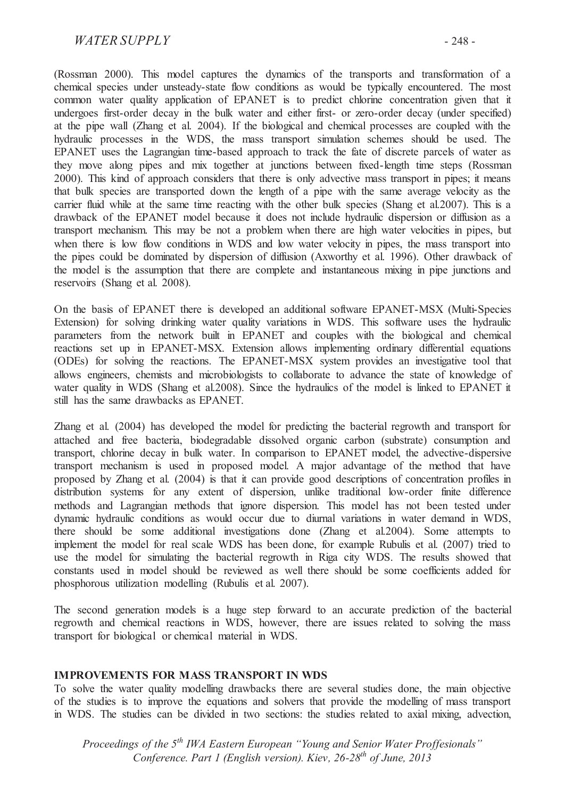# *WATER SUPPLY* - 248 -

(Rossman 2000). This model captures the dynamics of the transports and transformation of a chemical species under unsteady-state flow conditions as would be typically encountered. The most common water quality application of EPANET is to predict chlorine concentration given that it undergoes first-order decay in the bulk water and either first- or zero-order decay (under specified) at the pipe wall (Zhang et al. 2004). If the biological and chemical processes are coupled with the hydraulic processes in the WDS, the mass transport simulation schemes should be used. The EPANET uses the Lagrangian time-based approach to track the fate of discrete parcels of water as they move along pipes and mix together at junctions between fixed-length time steps (Rossman 2000). This kind of approach considers that there is only advective mass transport in pipes; it means that bulk species are transported down the length of a pipe with the same average velocity as the carrier fluid while at the same time reacting with the other bulk species (Shang et al. 2007). This is a drawback of the EPANET model because it does not include hydraulic dispersion or diffusion as a transport mechanism. This may be not a problem when there are high water velocities in pipes, but when there is low flow conditions in WDS and low water velocity in pipes, the mass transport into the pipes could be dominated by dispersion of diffusion (Axworthy et al. 1996). Other drawback of the model is the assumption that there are complete and instantaneous mixing in pipe junctions and reservoirs (Shang et al. 2008).

On the basis of EPANET there is developed an additional software EPANET-MSX (Multi-Species Extension) for solving drinking water quality variations in WDS. This software uses the hydraulic parameters from the network built in EPANET and couples with the biological and chemical reactions set up in EPANET-MSX. Extension allows implementing ordinary differential equations (ODEs) for solving the reactions. The EPANET-MSX system provides an investigative tool that allows engineers, chemists and microbiologists to collaborate to advance the state of knowledge of water quality in WDS (Shang et al.2008). Since the hydraulics of the model is linked to EPANET it still has the same drawbacks as EPANET.

Zhang et al. (2004) has developed the model for predicting the bacterial regrowth and transport for attached and free bacteria, biodegradable dissolved organic carbon (substrate) consumption and transport, chlorine decay in bulk water. In comparison to EPANET model, the advective-dispersive transport mechanism is used in proposed model. A major advantage of the method that have proposed by Zhang et al. (2004) is that it can provide good descriptions of concentration profiles in distribution systems for any extent of dispersion, unlike traditional low-order finite difference methods and Lagrangian methods that ignore dispersion. This model has not been tested under dynamic hydraulic conditions as would occur due to diurnal variations in water demand in WDS, there should be some additional investigations done (Zhang et al.2004). Some attempts to implement the model for real scale WDS has been done, for example Rubulis et al. (2007) tried to use the model for simulating the bacterial regrowth in Riga city WDS. The results showed that constants used in model should be reviewed as well there should be some coefficients added for phosphorous utilization modelling (Rubulis et al. 2007).

The second generation models is a huge step forward to an accurate prediction of the bacterial regrowth and chemical reactions in WDS, however, there are issues related to solving the mass transport for biological or chemical material in WDS.

#### **IMPROVEMENTS FOR MASS TRANSPORT IN WDS**

To solve the water quality modelling drawbacks there are several studies done, the main objective of the studies is to improve the equations and solvers that provide the modelling of mass transport in WDS. The studies can be divided in two sections: the studies related to axial mixing, advection,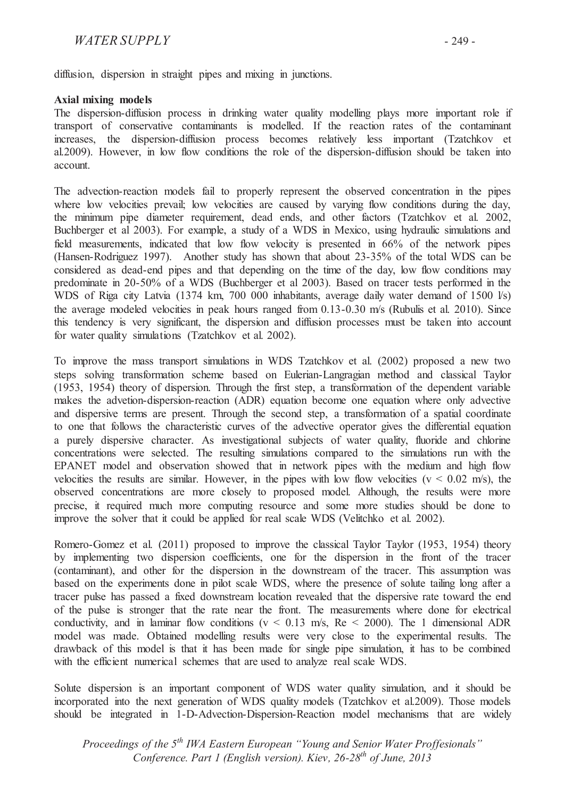diffusion, dispersion in straight pipes and mixing in junctions.

### **Axial mixing models**

The dispersion-diffusion process in drinking water quality modelling plays more important role if transport of conservative contaminants is modelled. If the reaction rates of the contaminant increases, the dispersion-diffusion process becomes relatively less important (Tzatchkov et al.2009). However, in low flow conditions the role of the dispersion-diffusion should be taken into account.

The advection-reaction models fail to properly represent the observed concentration in the pipes where low velocities prevail; low velocities are caused by varying flow conditions during the day the minimum pipe diameter requirement, dead ends, and other factors (Tzatchkov et al. 2002, Buchberger et al 2003). For example, a study of a WDS in Mexico, using hydraulic simulations and field measurements, indicated that low flow velocity is presented in 66% of the network pipes (Hansen-Rodriguez 1997). Another study has shown that about 23-35% of the total WDS can be considered as dead-end pipes and that depending on the time of the day, low flow conditions may predominate in 20-50% of a WDS (Buchberger et al 2003). Based on tracer tests performed in the WDS of Riga city Latvia (1374 km, 700 000 inhabitants, average daily water demand of 1500 l/s) the average modeled velocities in peak hours ranged from 0.13-0.30 m/s (Rubulis et al. 2010). Since this tendency is very significant, the dispersion and diffusion processes must be taken into account for water quality simulations (Tzatchkov et al. 2002).

To improve the mass transport simulations in WDS Tzatchkov et al. (2002) proposed a new two steps solving transformation scheme based on Eulerian-Langragian method and classical Taylor (1953, 1954) theory of dispersion. Through the first step, a transformation of the dependent variable makes the advetion-dispersion-reaction (ADR) equation become one equation where only advective and dispersive terms are present. Through the second step, a transformation of a spatial coordinate to one that follows the characteristic curves of the advective operator gives the differential equation a purely dispersive character. As investigational subjects of water quality, fluoride and chlorine concentrations were selected. The resulting simulations compared to the simulations run with the EPANET model and observation showed that in network pipes with the medium and high flow velocities the results are similar. However, in the pipes with low flow velocities ( $v < 0.02$  m/s), the observed concentrations are more closely to proposed model. Although, the results were more precise, it required much more computing resource and some more studies should be done to improve the solver that it could be applied for real scale WDS (Velitchko et al. 2002).

Romero-Gomez et al. (2011) proposed to improve the classical Taylor Taylor (1953, 1954) theory by implementing two dispersion coefficients, one for the dispersion in the front of the tracer (contaminant), and other for the dispersion in the downstream of the tracer. This assumption was based on the experiments done in pilot scale WDS, where the presence of solute tailing long after a tracer pulse has passed a fixed downstream location revealed that the dispersive rate toward the end of the pulse is stronger that the rate near the front. The measurements where done for electrical conductivity, and in laminar flow conditions ( $v < 0.13$  m/s, Re  $< 2000$ ). The 1 dimensional ADR model was made. Obtained modelling results were very close to the experimental results. The drawback of this model is that it has been made for single pipe simulation, it has to be combined with the efficient numerical schemes that are used to analyze real scale WDS.

Solute dispersion is an important component of WDS water quality simulation, and it should be incorporated into the next generation of WDS quality models (Tzatchkov et al.2009). Those models should be integrated in 1-D-Advection-Dispersion-Reaction model mechanisms that are widely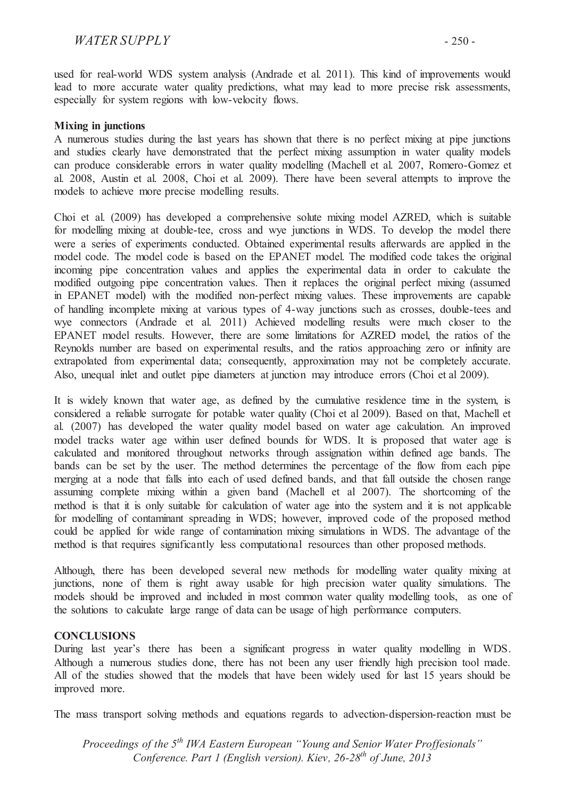used for real-world WDS system analysis (Andrade et al. 2011). This kind of improvements would lead to more accurate water quality predictions, what may lead to more precise risk assessments, especially for system regions with low-velocity flows.

### **Mixing in junctions**

A numerous studies during the last years has shown that there is no perfect mixing at pipe junctions and studies clearly have demonstrated that the perfect mixing assumption in water quality models can produce considerable errors in water quality modelling (Machell et al. 2007, Romero-Gomez et al. 2008, Austin et al. 2008, Choi et al. 2009). There have been several attempts to improve the models to achieve more precise modelling results.

Choi et al. (2009) has developed a comprehensive solute mixing model AZRED, which is suitable for modelling mixing at double-tee, cross and wye junctions in WDS. To develop the model there were a series of experiments conducted. Obtained experimental results afterwards are applied in the model code. The model code is based on the EPANET model. The modified code takes the original incoming pipe concentration values and applies the experimental data in order to calculate the modified outgoing pipe concentration values. Then it replaces the original perfect mixing (assumed in EPANET model) with the modified non-perfect mixing values. These improvements are capable of handling incomplete mixing at various types of 4-way junctions such as crosses, double-tees and wye connectors (Andrade et al. 2011) Achieved modelling results were much closer to the EPANET model results. However, there are some limitations for AZRED model, the ratios of the Reynolds number are based on experimental results, and the ratios approaching zero or infinity are extrapolated from experimental data; consequently, approximation may not be completely accurate. Also, unequal inlet and outlet pipe diameters at junction may introduce errors (Choi et al 2009).

It is widely known that water age, as defined by the cumulative residence time in the system, is considered a reliable surrogate for potable water quality (Choi et al 2009). Based on that, Machell et al. (2007) has developed the water quality model based on water age calculation. An improved model tracks water age within user defined bounds for WDS. It is proposed that water age is calculated and monitored throughout networks through assignation within defined age bands. The bands can be set by the user. The method determines the percentage of the flow from each pipe merging at a node that falls into each of used defined bands, and that fall outside the chosen range assuming complete mixing within a given band (Machell et al 2007). The shortcoming of the method is that it is only suitable for calculation of water age into the system and it is not applicable for modelling of contaminant spreading in WDS; however, improved code of the proposed method could be applied for wide range of contamination mixing simulations in WDS. The advantage of the method is that requires significantly less computational resources than other proposed methods.

Although, there has been developed several new methods for modelling water quality mixing at junctions, none of them is right away usable for high precision water quality simulations. The models should be improved and included in most common water quality modelling tools, as one of the solutions to calculate large range of data can be usage of high performance computers.

#### **CONCLUSIONS**

During last year's there has been a significant progress in water quality modelling in WDS. Although a numerous studies done, there has not been any user friendly high precision tool made. All of the studies showed that the models that have been widely used for last 15 years should be improved more.

The mass transport solving methods and equations regards to advection-dispersion-reaction must be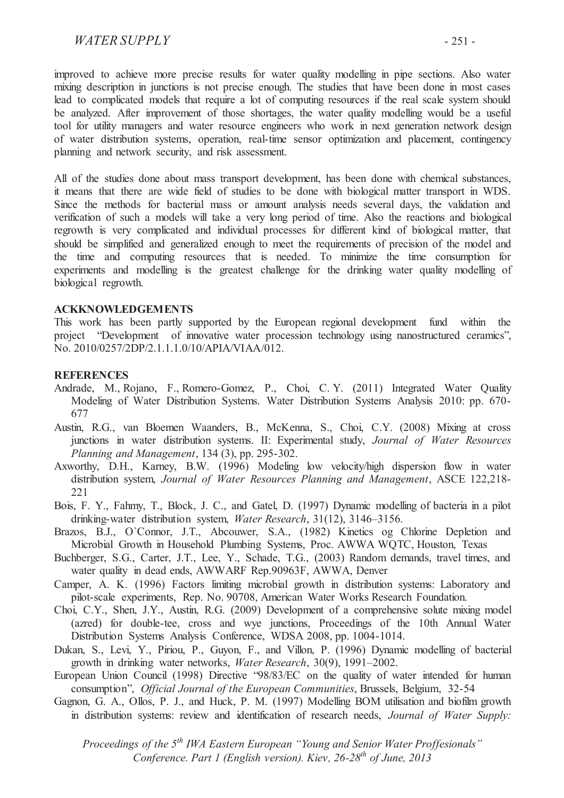# *WATER SUPPLY* - 251 -

improved to achieve more precise results for water quality modelling in pipe sections. Also water mixing description in junctions is not precise enough. The studies that have been done in most cases lead to complicated models that require a lot of computing resources if the real scale system should be analyzed. After improvement of those shortages, the water quality modelling would be a useful tool for utility managers and water resource engineers who work in next generation network design of water distribution systems, operation, real-time sensor optimization and placement, contingency planning and network security, and risk assessment.

All of the studies done about mass transport development, has been done with chemical substances, it means that there are wide field of studies to be done with biological matter transport in WDS. Since the methods for bacterial mass or amount analysis needs several days, the validation and verification of such a models will take a very long period of time. Also the reactions and biological regrowth is very complicated and individual processes for different kind of biological matter, that should be simplified and generalized enough to meet the requirements of precision of the model and the time and computing resources that is needed. To minimize the time consumption for experiments and modelling is the greatest challenge for the drinking water quality modelling of biological regrowth.

#### **ACKKNOWLEDGEMENTS**

This work has been partly supported by the European regional development fund within the project "Development of innovative water procession technology using nanostructured ceramics", No. 2010/0257/2DP/2.1.1.1.0/10/APIA/VIAA/012.

#### **REFERENCES**

- Andrade, M., Rojano, F., Romero-Gomez, P., Choi, C. Y. (2011) Integrated Water Quality Modeling of Water Distribution Systems. Water Distribution Systems Analysis 2010: pp. 670- 677
- Austin, R.G., van Bloemen Waanders, B., McKenna, S., Choi, C.Y. (2008) Mixing at cross junctions in water distribution systems. II: Experimental study, *Journal of Water Resources Planning and Management*, 134 (3), pp. 295-302.
- Axworthy, D.H., Karney, B.W. (1996) Modeling low velocity/high dispersion flow in water distribution system, *Journal of Water Resources Planning and Management*, ASCE 122,218- 221
- Bois, F. Y., Fahmy, T., Block, J. C., and Gatel, D. (1997) Dynamic modelling of bacteria in a pilot drinking-water distribution system, *Water Research*, 31(12), 3146–3156.
- Brazos, B.J., O`Connor, J.T., Abcouwer, S.A., (1982) Kinetics og Chlorine Depletion and Microbial Growth in Household Plumbing Systems, Proc. AWWA WQTC, Houston, Texas
- Buchberger, S.G., Carter, J.T., Lee, Y., Schade, T.G., (2003) Random demands, travel times, and water quality in dead ends, AWWARF Rep.90963F, AWWA, Denver
- Camper, A. K. (1996) Factors limiting microbial growth in distribution systems: Laboratory and pilot-scale experiments, Rep. No. 90708, American Water Works Research Foundation.
- Choi, C.Y., Shen, J.Y., Austin, R.G. (2009) Development of a comprehensive solute mixing model (azred) for double-tee, cross and wye junctions, Proceedings of the 10th Annual Water Distribution Systems Analysis Conference, WDSA 2008, pp. 1004-1014.
- Dukan, S., Levi, Y., Piriou, P., Guyon, F., and Villon, P. (1996) Dynamic modelling of bacterial growth in drinking water networks, *Water Research*, 30(9), 1991–2002.
- European Union Council (1998) Directive "98/83/EC on the quality of water intended for human consumption", *Official Journal of the European Communities*, Brussels, Belgium, 32-54
- Gagnon, G. A., Ollos, P. J., and Huck, P. M. (1997) Modelling BOM utilisation and biofilm growth in distribution systems: review and identification of research needs, *Journal of Water Supply:*